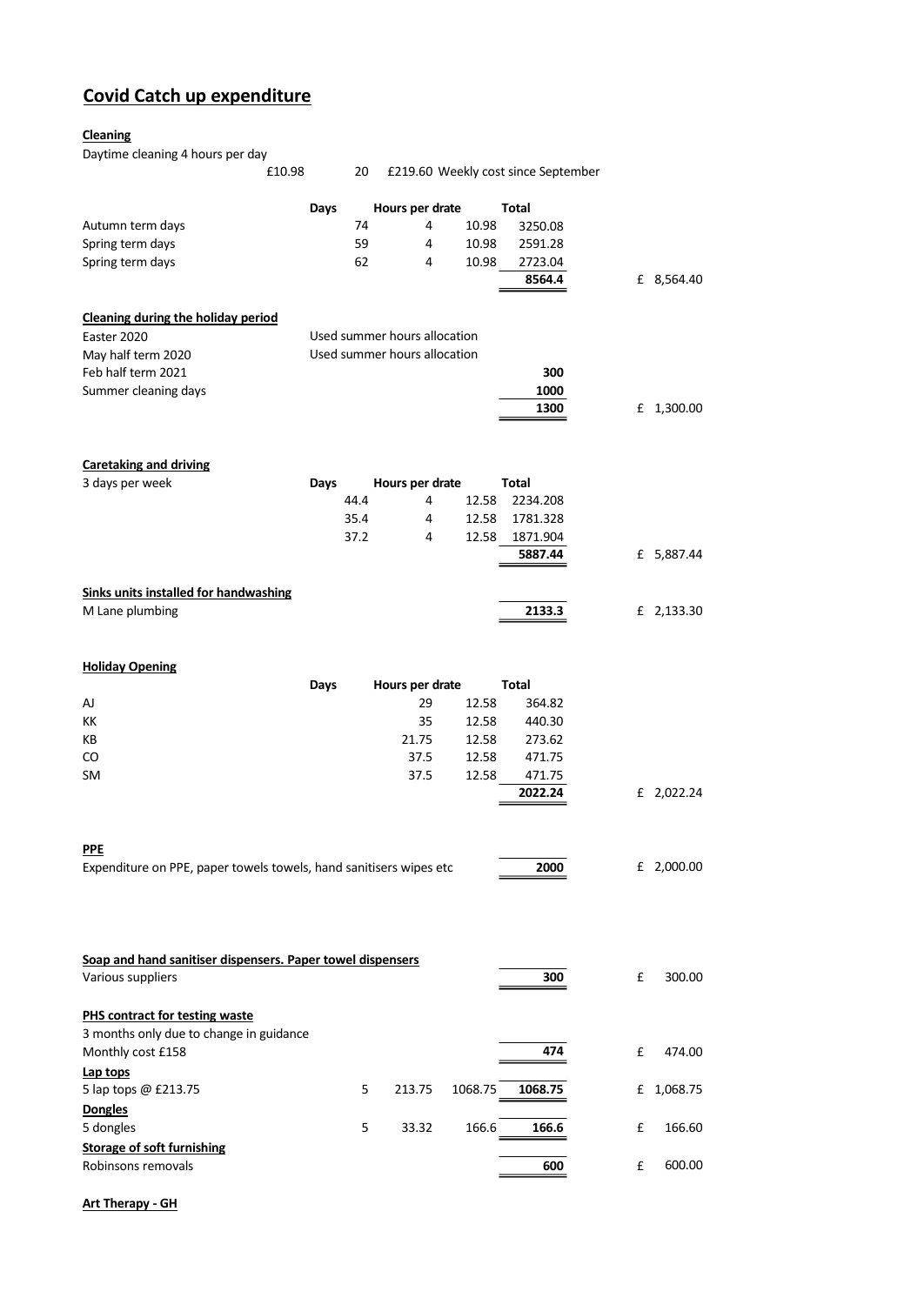## **Covid Catch up expenditure**

## **Cleaning**

Daytime cleaning 4 hours per day

| £10.98                                                                    |      | 20   |                              |         | £219.60 Weekly cost since September |   |            |
|---------------------------------------------------------------------------|------|------|------------------------------|---------|-------------------------------------|---|------------|
|                                                                           | Days |      | Hours per drate              |         | <b>Total</b>                        |   |            |
| Autumn term days                                                          |      | 74   | 4                            | 10.98   | 3250.08                             |   |            |
| Spring term days                                                          |      | 59   | 4                            | 10.98   | 2591.28                             |   |            |
| Spring term days                                                          |      | 62   | 4                            | 10.98   | 2723.04                             |   |            |
|                                                                           |      |      |                              |         | 8564.4                              |   | £ 8,564.40 |
| <b>Cleaning during the holiday period</b>                                 |      |      |                              |         |                                     |   |            |
| Easter 2020                                                               |      |      | Used summer hours allocation |         |                                     |   |            |
| May half term 2020                                                        |      |      | Used summer hours allocation |         |                                     |   |            |
| Feb half term 2021                                                        |      | 300  |                              |         |                                     |   |            |
| Summer cleaning days                                                      |      |      |                              |         | 1000                                |   |            |
|                                                                           |      |      |                              |         | 1300                                |   | £ 1,300.00 |
| <b>Caretaking and driving</b>                                             |      |      |                              |         |                                     |   |            |
| 3 days per week                                                           | Days |      | Hours per drate              |         | <b>Total</b>                        |   |            |
|                                                                           |      | 44.4 | 4                            | 12.58   | 2234.208                            |   |            |
|                                                                           |      | 35.4 | 4                            | 12.58   | 1781.328                            |   |            |
|                                                                           |      | 37.2 | 4                            | 12.58   | 1871.904                            |   |            |
|                                                                           |      |      |                              |         | 5887.44                             |   | £ 5,887.44 |
| <b>Sinks units installed for handwashing</b>                              |      |      |                              |         |                                     |   |            |
| M Lane plumbing                                                           |      |      |                              |         | 2133.3                              |   | £ 2,133.30 |
| <b>Holiday Opening</b>                                                    |      |      |                              |         |                                     |   |            |
|                                                                           | Days |      | Hours per drate              |         | Total                               |   |            |
| AJ                                                                        |      |      | 29                           | 12.58   | 364.82                              |   |            |
| KК                                                                        |      |      | 35                           | 12.58   | 440.30                              |   |            |
| KВ                                                                        |      |      | 21.75                        | 12.58   | 273.62                              |   |            |
| CO                                                                        |      |      | 37.5                         | 12.58   | 471.75                              |   |            |
| SM                                                                        |      |      | 37.5                         | 12.58   | 471.75                              |   |            |
|                                                                           |      |      |                              |         | 2022.24                             |   | £ 2,022.24 |
|                                                                           |      |      |                              |         |                                     |   |            |
| PPE<br>Expenditure on PPE, paper towels towels, hand sanitisers wipes etc |      |      |                              |         | 2000                                |   | £ 2,000.00 |
|                                                                           |      |      |                              |         |                                     |   |            |
|                                                                           |      |      |                              |         |                                     |   |            |
| Soap and hand sanitiser dispensers. Paper towel dispensers                |      |      |                              |         |                                     |   |            |
| Various suppliers                                                         |      |      |                              |         | 300                                 | £ | 300.00     |
| PHS contract for testing waste                                            |      |      |                              |         |                                     |   |            |
| 3 months only due to change in guidance<br>Monthly cost £158              |      |      |                              |         | 474                                 | £ | 474.00     |
| Lap tops                                                                  |      |      |                              |         |                                     |   |            |
| 5 lap tops @ £213.75                                                      |      | 5    | 213.75                       | 1068.75 | 1068.75                             | £ | 1,068.75   |
| <b>Dongles</b><br>5 dongles                                               |      | 5    | 33.32                        | 166.6   | 166.6                               | £ | 166.60     |
| <b>Storage of soft furnishing</b>                                         |      |      |                              |         |                                     |   |            |
| Robinsons removals                                                        |      |      |                              |         | 600                                 | £ | 600.00     |
|                                                                           |      |      |                              |         |                                     |   |            |

**Art Therapy - GH**